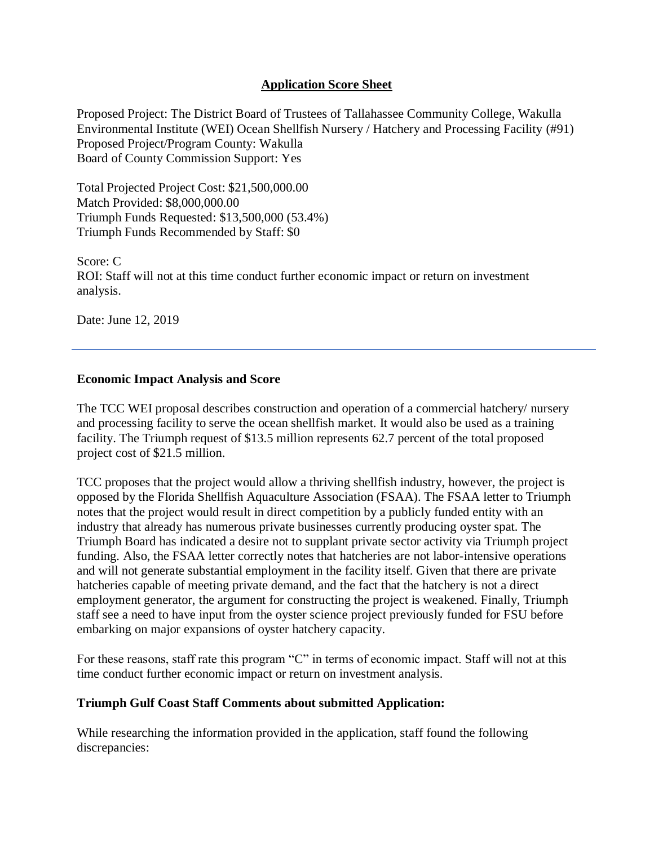## **Application Score Sheet**

Proposed Project: The District Board of Trustees of Tallahassee Community College, Wakulla Environmental Institute (WEI) Ocean Shellfish Nursery / Hatchery and Processing Facility (#91) Proposed Project/Program County: Wakulla Board of County Commission Support: Yes

Total Projected Project Cost: \$21,500,000.00 Match Provided: \$8,000,000.00 Triumph Funds Requested: \$13,500,000 (53.4%) Triumph Funds Recommended by Staff: \$0

Score: C ROI: Staff will not at this time conduct further economic impact or return on investment analysis.

Date: June 12, 2019

#### **Economic Impact Analysis and Score**

The TCC WEI proposal describes construction and operation of a commercial hatchery/ nursery and processing facility to serve the ocean shellfish market. It would also be used as a training facility. The Triumph request of \$13.5 million represents 62.7 percent of the total proposed project cost of \$21.5 million.

TCC proposes that the project would allow a thriving shellfish industry, however, the project is opposed by the Florida Shellfish Aquaculture Association (FSAA). The FSAA letter to Triumph notes that the project would result in direct competition by a publicly funded entity with an industry that already has numerous private businesses currently producing oyster spat. The Triumph Board has indicated a desire not to supplant private sector activity via Triumph project funding. Also, the FSAA letter correctly notes that hatcheries are not labor-intensive operations and will not generate substantial employment in the facility itself. Given that there are private hatcheries capable of meeting private demand, and the fact that the hatchery is not a direct employment generator, the argument for constructing the project is weakened. Finally, Triumph staff see a need to have input from the oyster science project previously funded for FSU before embarking on major expansions of oyster hatchery capacity.

For these reasons, staff rate this program "C" in terms of economic impact. Staff will not at this time conduct further economic impact or return on investment analysis.

#### **Triumph Gulf Coast Staff Comments about submitted Application:**

While researching the information provided in the application, staff found the following discrepancies: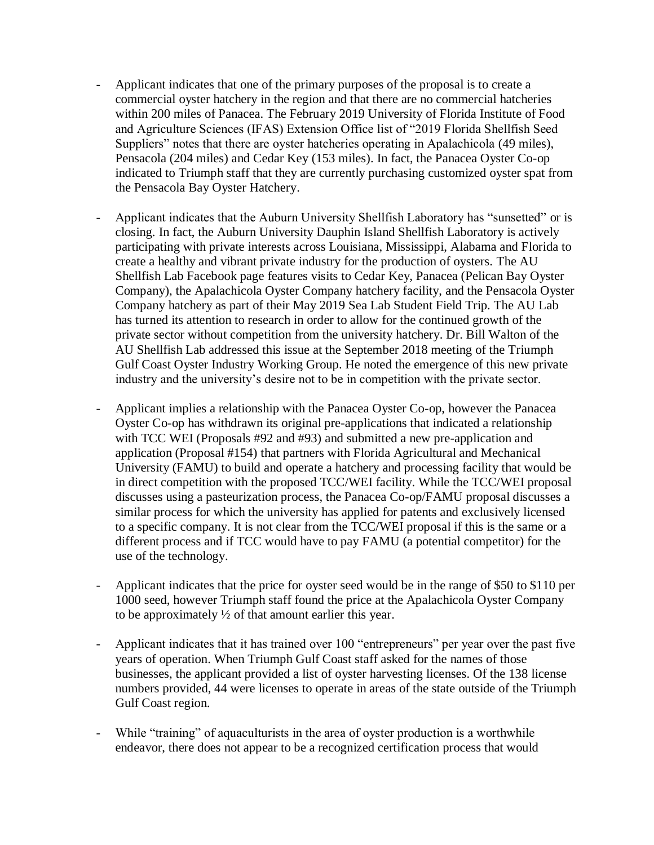- Applicant indicates that one of the primary purposes of the proposal is to create a commercial oyster hatchery in the region and that there are no commercial hatcheries within 200 miles of Panacea. The February 2019 University of Florida Institute of Food and Agriculture Sciences (IFAS) Extension Office list of "2019 Florida Shellfish Seed Suppliers" notes that there are oyster hatcheries operating in Apalachicola (49 miles), Pensacola (204 miles) and Cedar Key (153 miles). In fact, the Panacea Oyster Co-op indicated to Triumph staff that they are currently purchasing customized oyster spat from the Pensacola Bay Oyster Hatchery.
- Applicant indicates that the Auburn University Shellfish Laboratory has "sunsetted" or is closing. In fact, the Auburn University Dauphin Island Shellfish Laboratory is actively participating with private interests across Louisiana, Mississippi, Alabama and Florida to create a healthy and vibrant private industry for the production of oysters. The AU Shellfish Lab Facebook page features visits to Cedar Key, Panacea (Pelican Bay Oyster Company), the Apalachicola Oyster Company hatchery facility, and the Pensacola Oyster Company hatchery as part of their May 2019 Sea Lab Student Field Trip. The AU Lab has turned its attention to research in order to allow for the continued growth of the private sector without competition from the university hatchery. Dr. Bill Walton of the AU Shellfish Lab addressed this issue at the September 2018 meeting of the Triumph Gulf Coast Oyster Industry Working Group. He noted the emergence of this new private industry and the university's desire not to be in competition with the private sector.
- Applicant implies a relationship with the Panacea Oyster Co-op, however the Panacea Oyster Co-op has withdrawn its original pre-applications that indicated a relationship with TCC WEI (Proposals #92 and #93) and submitted a new pre-application and application (Proposal #154) that partners with Florida Agricultural and Mechanical University (FAMU) to build and operate a hatchery and processing facility that would be in direct competition with the proposed TCC/WEI facility. While the TCC/WEI proposal discusses using a pasteurization process, the Panacea Co-op/FAMU proposal discusses a similar process for which the university has applied for patents and exclusively licensed to a specific company. It is not clear from the TCC/WEI proposal if this is the same or a different process and if TCC would have to pay FAMU (a potential competitor) for the use of the technology.
- Applicant indicates that the price for oyster seed would be in the range of \$50 to \$110 per 1000 seed, however Triumph staff found the price at the Apalachicola Oyster Company to be approximately ½ of that amount earlier this year.
- Applicant indicates that it has trained over 100 "entrepreneurs" per year over the past five years of operation. When Triumph Gulf Coast staff asked for the names of those businesses, the applicant provided a list of oyster harvesting licenses. Of the 138 license numbers provided, 44 were licenses to operate in areas of the state outside of the Triumph Gulf Coast region.
- While "training" of aquaculturists in the area of oyster production is a worthwhile endeavor, there does not appear to be a recognized certification process that would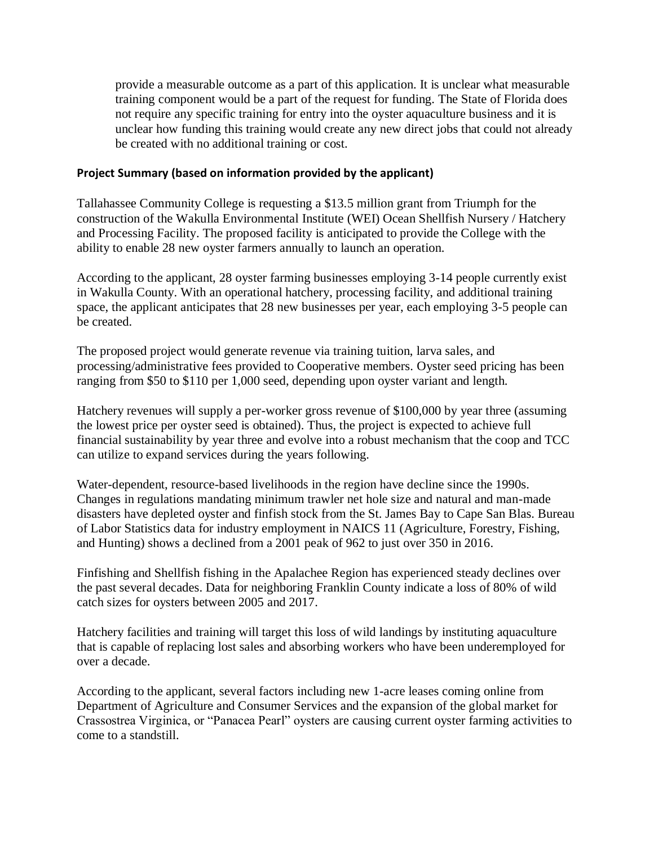provide a measurable outcome as a part of this application. It is unclear what measurable training component would be a part of the request for funding. The State of Florida does not require any specific training for entry into the oyster aquaculture business and it is unclear how funding this training would create any new direct jobs that could not already be created with no additional training or cost.

#### **Project Summary (based on information provided by the applicant)**

Tallahassee Community College is requesting a \$13.5 million grant from Triumph for the construction of the Wakulla Environmental Institute (WEI) Ocean Shellfish Nursery / Hatchery and Processing Facility. The proposed facility is anticipated to provide the College with the ability to enable 28 new oyster farmers annually to launch an operation.

According to the applicant, 28 oyster farming businesses employing 3-14 people currently exist in Wakulla County. With an operational hatchery, processing facility, and additional training space, the applicant anticipates that 28 new businesses per year, each employing 3-5 people can be created.

The proposed project would generate revenue via training tuition, larva sales, and processing/administrative fees provided to Cooperative members. Oyster seed pricing has been ranging from \$50 to \$110 per 1,000 seed, depending upon oyster variant and length.

Hatchery revenues will supply a per-worker gross revenue of \$100,000 by year three (assuming the lowest price per oyster seed is obtained). Thus, the project is expected to achieve full financial sustainability by year three and evolve into a robust mechanism that the coop and TCC can utilize to expand services during the years following.

Water-dependent, resource-based livelihoods in the region have decline since the 1990s. Changes in regulations mandating minimum trawler net hole size and natural and man-made disasters have depleted oyster and finfish stock from the St. James Bay to Cape San Blas. Bureau of Labor Statistics data for industry employment in NAICS 11 (Agriculture, Forestry, Fishing, and Hunting) shows a declined from a 2001 peak of 962 to just over 350 in 2016.

Finfishing and Shellfish fishing in the Apalachee Region has experienced steady declines over the past several decades. Data for neighboring Franklin County indicate a loss of 80% of wild catch sizes for oysters between 2005 and 2017.

Hatchery facilities and training will target this loss of wild landings by instituting aquaculture that is capable of replacing lost sales and absorbing workers who have been underemployed for over a decade.

According to the applicant, several factors including new 1-acre leases coming online from Department of Agriculture and Consumer Services and the expansion of the global market for Crassostrea Virginica, or "Panacea Pearl" oysters are causing current oyster farming activities to come to a standstill.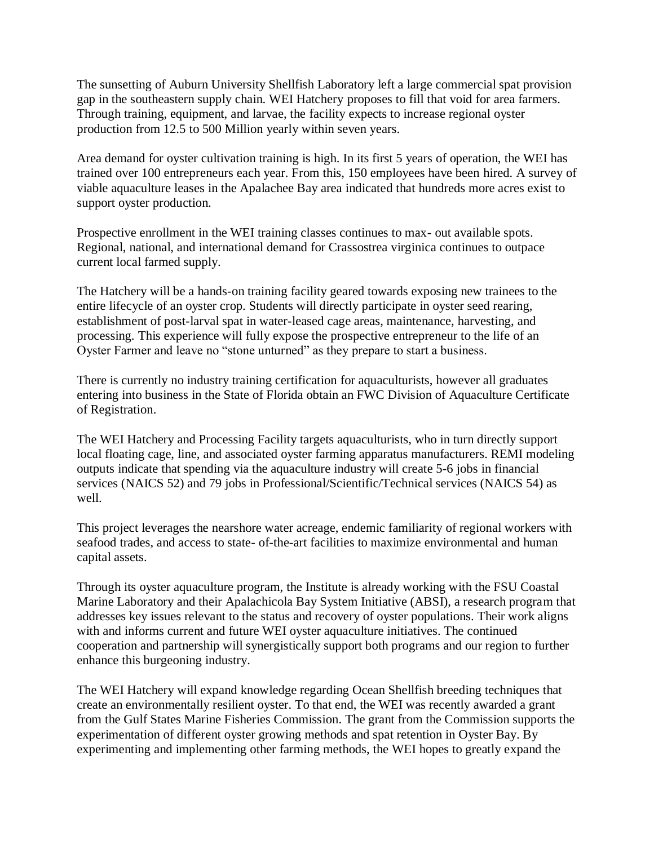The sunsetting of Auburn University Shellfish Laboratory left a large commercial spat provision gap in the southeastern supply chain. WEI Hatchery proposes to fill that void for area farmers. Through training, equipment, and larvae, the facility expects to increase regional oyster production from 12.5 to 500 Million yearly within seven years.

Area demand for oyster cultivation training is high. In its first 5 years of operation, the WEI has trained over 100 entrepreneurs each year. From this, 150 employees have been hired. A survey of viable aquaculture leases in the Apalachee Bay area indicated that hundreds more acres exist to support oyster production.

Prospective enrollment in the WEI training classes continues to max- out available spots. Regional, national, and international demand for Crassostrea virginica continues to outpace current local farmed supply.

The Hatchery will be a hands-on training facility geared towards exposing new trainees to the entire lifecycle of an oyster crop. Students will directly participate in oyster seed rearing, establishment of post-larval spat in water-leased cage areas, maintenance, harvesting, and processing. This experience will fully expose the prospective entrepreneur to the life of an Oyster Farmer and leave no "stone unturned" as they prepare to start a business.

There is currently no industry training certification for aquaculturists, however all graduates entering into business in the State of Florida obtain an FWC Division of Aquaculture Certificate of Registration.

The WEI Hatchery and Processing Facility targets aquaculturists, who in turn directly support local floating cage, line, and associated oyster farming apparatus manufacturers. REMI modeling outputs indicate that spending via the aquaculture industry will create 5-6 jobs in financial services (NAICS 52) and 79 jobs in Professional/Scientific/Technical services (NAICS 54) as well.

This project leverages the nearshore water acreage, endemic familiarity of regional workers with seafood trades, and access to state- of-the-art facilities to maximize environmental and human capital assets.

Through its oyster aquaculture program, the Institute is already working with the FSU Coastal Marine Laboratory and their Apalachicola Bay System Initiative (ABSI), a research program that addresses key issues relevant to the status and recovery of oyster populations. Their work aligns with and informs current and future WEI oyster aquaculture initiatives. The continued cooperation and partnership will synergistically support both programs and our region to further enhance this burgeoning industry.

The WEI Hatchery will expand knowledge regarding Ocean Shellfish breeding techniques that create an environmentally resilient oyster. To that end, the WEI was recently awarded a grant from the Gulf States Marine Fisheries Commission. The grant from the Commission supports the experimentation of different oyster growing methods and spat retention in Oyster Bay. By experimenting and implementing other farming methods, the WEI hopes to greatly expand the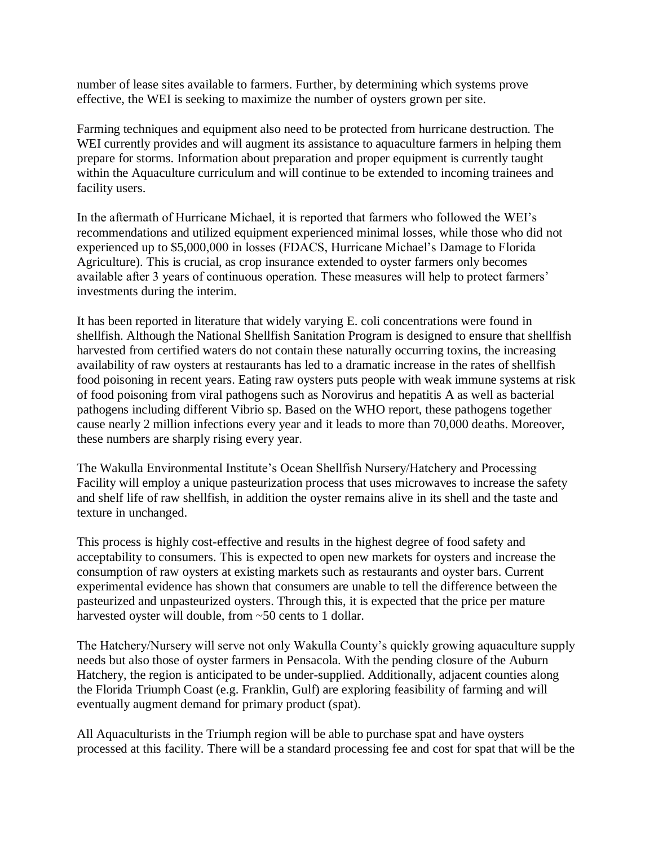number of lease sites available to farmers. Further, by determining which systems prove effective, the WEI is seeking to maximize the number of oysters grown per site.

Farming techniques and equipment also need to be protected from hurricane destruction. The WEI currently provides and will augment its assistance to aquaculture farmers in helping them prepare for storms. Information about preparation and proper equipment is currently taught within the Aquaculture curriculum and will continue to be extended to incoming trainees and facility users.

In the aftermath of Hurricane Michael, it is reported that farmers who followed the WEI's recommendations and utilized equipment experienced minimal losses, while those who did not experienced up to \$5,000,000 in losses (FDACS, Hurricane Michael's Damage to Florida Agriculture). This is crucial, as crop insurance extended to oyster farmers only becomes available after 3 years of continuous operation. These measures will help to protect farmers' investments during the interim.

It has been reported in literature that widely varying E. coli concentrations were found in shellfish. Although the National Shellfish Sanitation Program is designed to ensure that shellfish harvested from certified waters do not contain these naturally occurring toxins, the increasing availability of raw oysters at restaurants has led to a dramatic increase in the rates of shellfish food poisoning in recent years. Eating raw oysters puts people with weak immune systems at risk of food poisoning from viral pathogens such as Norovirus and hepatitis A as well as bacterial pathogens including different Vibrio sp. Based on the WHO report, these pathogens together cause nearly 2 million infections every year and it leads to more than 70,000 deaths. Moreover, these numbers are sharply rising every year.

The Wakulla Environmental Institute's Ocean Shellfish Nursery/Hatchery and Processing Facility will employ a unique pasteurization process that uses microwaves to increase the safety and shelf life of raw shellfish, in addition the oyster remains alive in its shell and the taste and texture in unchanged.

This process is highly cost-effective and results in the highest degree of food safety and acceptability to consumers. This is expected to open new markets for oysters and increase the consumption of raw oysters at existing markets such as restaurants and oyster bars. Current experimental evidence has shown that consumers are unable to tell the difference between the pasteurized and unpasteurized oysters. Through this, it is expected that the price per mature harvested oyster will double, from ~50 cents to 1 dollar.

The Hatchery/Nursery will serve not only Wakulla County's quickly growing aquaculture supply needs but also those of oyster farmers in Pensacola. With the pending closure of the Auburn Hatchery, the region is anticipated to be under-supplied. Additionally, adjacent counties along the Florida Triumph Coast (e.g. Franklin, Gulf) are exploring feasibility of farming and will eventually augment demand for primary product (spat).

All Aquaculturists in the Triumph region will be able to purchase spat and have oysters processed at this facility. There will be a standard processing fee and cost for spat that will be the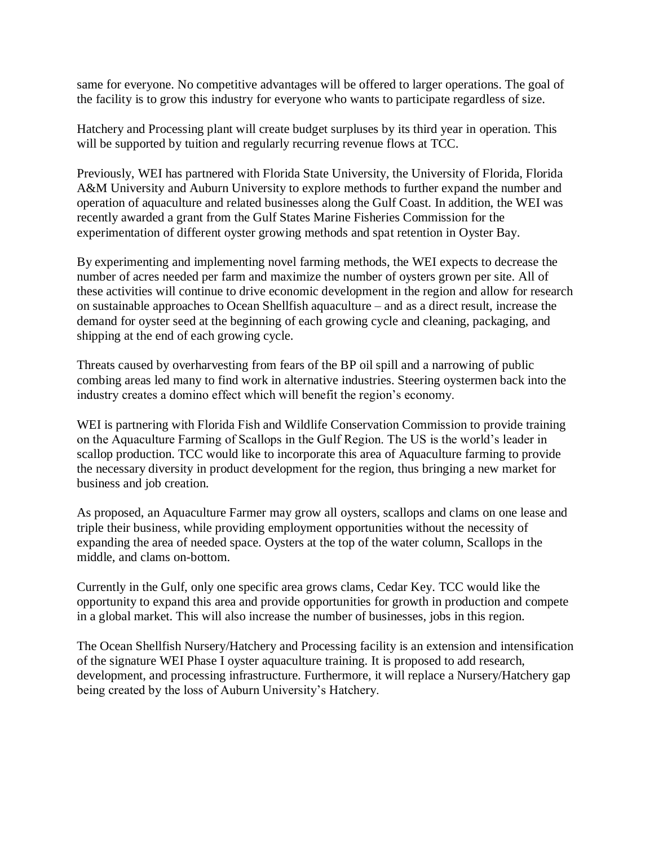same for everyone. No competitive advantages will be offered to larger operations. The goal of the facility is to grow this industry for everyone who wants to participate regardless of size.

Hatchery and Processing plant will create budget surpluses by its third year in operation. This will be supported by tuition and regularly recurring revenue flows at TCC.

Previously, WEI has partnered with Florida State University, the University of Florida, Florida A&M University and Auburn University to explore methods to further expand the number and operation of aquaculture and related businesses along the Gulf Coast. In addition, the WEI was recently awarded a grant from the Gulf States Marine Fisheries Commission for the experimentation of different oyster growing methods and spat retention in Oyster Bay.

By experimenting and implementing novel farming methods, the WEI expects to decrease the number of acres needed per farm and maximize the number of oysters grown per site. All of these activities will continue to drive economic development in the region and allow for research on sustainable approaches to Ocean Shellfish aquaculture – and as a direct result, increase the demand for oyster seed at the beginning of each growing cycle and cleaning, packaging, and shipping at the end of each growing cycle.

Threats caused by overharvesting from fears of the BP oil spill and a narrowing of public combing areas led many to find work in alternative industries. Steering oystermen back into the industry creates a domino effect which will benefit the region's economy.

WEI is partnering with Florida Fish and Wildlife Conservation Commission to provide training on the Aquaculture Farming of Scallops in the Gulf Region. The US is the world's leader in scallop production. TCC would like to incorporate this area of Aquaculture farming to provide the necessary diversity in product development for the region, thus bringing a new market for business and job creation.

As proposed, an Aquaculture Farmer may grow all oysters, scallops and clams on one lease and triple their business, while providing employment opportunities without the necessity of expanding the area of needed space. Oysters at the top of the water column, Scallops in the middle, and clams on-bottom.

Currently in the Gulf, only one specific area grows clams, Cedar Key. TCC would like the opportunity to expand this area and provide opportunities for growth in production and compete in a global market. This will also increase the number of businesses, jobs in this region.

The Ocean Shellfish Nursery/Hatchery and Processing facility is an extension and intensification of the signature WEI Phase I oyster aquaculture training. It is proposed to add research, development, and processing infrastructure. Furthermore, it will replace a Nursery/Hatchery gap being created by the loss of Auburn University's Hatchery.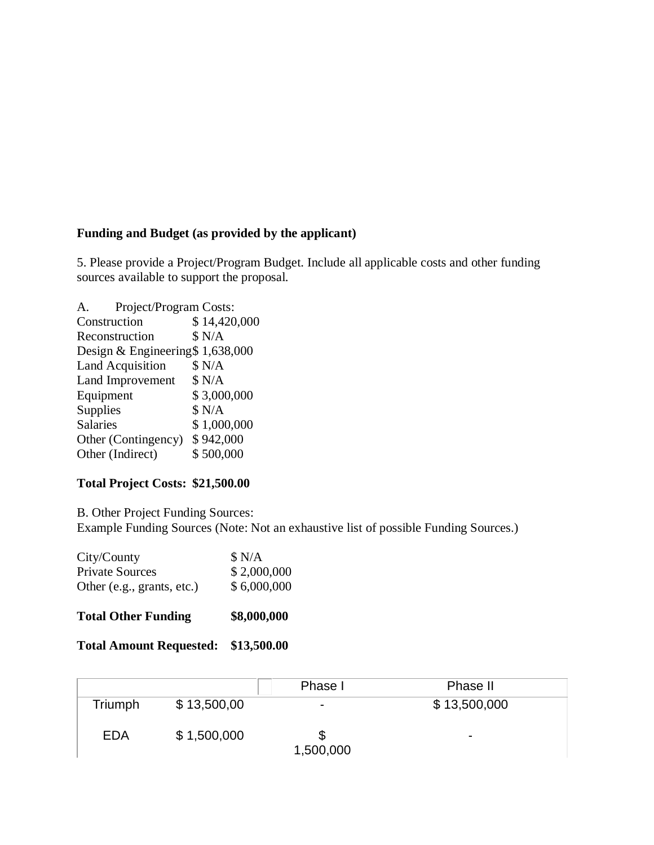### **Funding and Budget (as provided by the applicant)**

5. Please provide a Project/Program Budget. Include all applicable costs and other funding sources available to support the proposal.

A. Project/Program Costs: Construction \$ 14,420,000 Reconstruction \$ N/A Design & Engineering\$ 1,638,000 Land Acquisition  $$ N/A$ Land Improvement \$ N/A Equipment \$ 3,000,000 Supplies \$ N/A Salaries \$ 1,000,000 Other (Contingency) \$ 942,000 Other (Indirect) \$500,000

# **Total Project Costs: \$21,500.00**

B. Other Project Funding Sources:

Example Funding Sources (Note: Not an exhaustive list of possible Funding Sources.)

| City/County                | \$ N/A      |
|----------------------------|-------------|
| <b>Private Sources</b>     | \$2,000,000 |
| Other (e.g., grants, etc.) | \$6,000,000 |

| <b>Total Other Funding</b> | \$8,000,000 |
|----------------------------|-------------|
|----------------------------|-------------|

| Total Amount Requested: \$13,500.00 |  |
|-------------------------------------|--|
|-------------------------------------|--|

|            |             | Phase I        | Phase II     |
|------------|-------------|----------------|--------------|
| Triumph    | \$13,500,00 | ۰              | \$13,500,000 |
| <b>EDA</b> | \$1,500,000 | S<br>1,500,000 | ۰            |